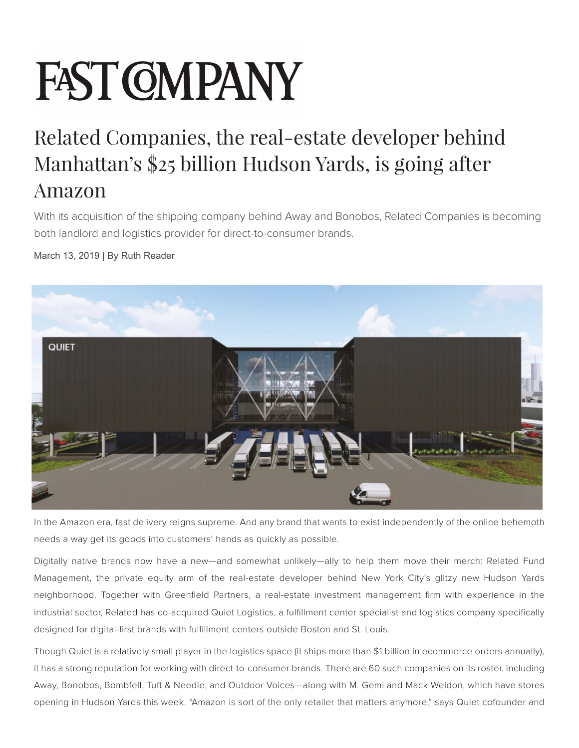## **FAST CMPANY**

## Related Companies, the real-estate developer behind Manhattan's \$25 billion Hudson Yards, is going after Amazon

With its acquisition of the shipping company behind Away and Bonobos, Related Companies is becoming both landlord and logistics provider for direct-to-consumer brands.

## March 13, 2019 | By Ruth Reader



In the Amazon era, fast delivery reigns supreme. And any brand that wants to exist independently of the online behemoth needs a way get its goods into customers' hands as quickly as possible.

Digitally native brands now have a new—and somewhat unlikely—ally to help them move their merch: Related Fund Management, the private equity arm of the real-estate developer behind New York City's glitzy new Hudson Yards neighborhood. Together with Greenfield Partners, a real-estate investment management firm with experience in the industrial sector, Related has co-acquired Quiet Logistics, a fulfillment center specialist and logistics company specifically designed for digital-first brands with fulfillment centers outside Boston and St. Louis.

Though Quiet is a relatively small player in the logistics space (it ships more than \$1 billion in ecommerce orders annually), it has a strong reputation for working with direct-to-consumer brands. There are 60 such companies on its roster, including Away, Bonobos, Bombfell, Tuft & Needle, and Outdoor Voices—along with M. Gemi and Mack Weldon, which have stores opening in Hudson Yards this week. "Amazon is sort of the only retailer that matters anymore," says Quiet cofounder and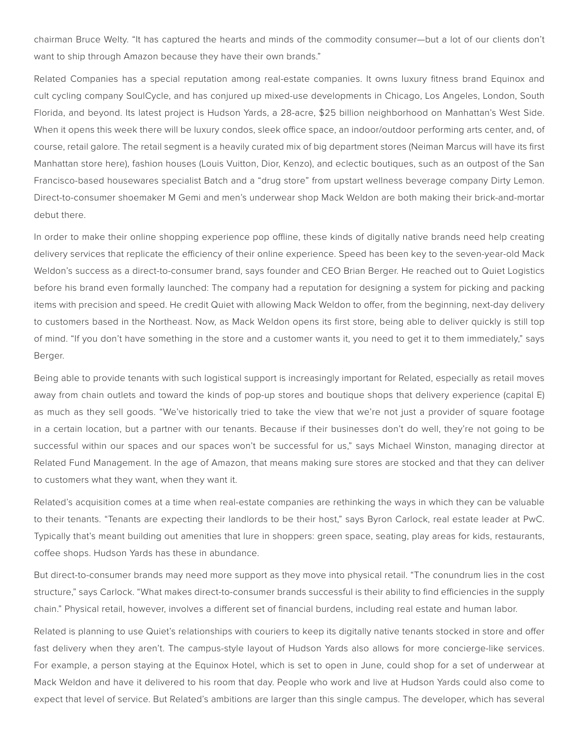chairman Bruce Welty. "It has captured the hearts and minds of the commodity consumer—but a lot of our clients don't want to ship through Amazon because they have their own brands."

Related Companies has a special reputation among real-estate companies. It owns luxury fitness brand Equinox and cult cycling company SoulCycle, and has conjured up mixed-use developments in Chicago, Los Angeles, London, South Florida, and beyond. Its latest project is Hudson Yards, a 28-acre, \$25 billion neighborhood on Manhattan's West Side. When it opens this week there will be luxury condos, sleek office space, an indoor/outdoor performing arts center, and, of course, retail galore. The retail segment is a heavily curated mix of big department stores (Neiman Marcus will have its first Manhattan store here), fashion houses (Louis Vuitton, Dior, Kenzo), and eclectic boutiques, such as an outpost of the San Francisco-based housewares specialist Batch and a "drug store" from upstart wellness beverage company Dirty Lemon. Direct-to-consumer shoemaker M Gemi and men's underwear shop Mack Weldon are both making their brick-and-mortar debut there.

In order to make their online shopping experience pop offline, these kinds of digitally native brands need help creating delivery services that replicate the efficiency of their online experience. Speed has been key to the seven-year-old Mack Weldon's success as a direct-to-consumer brand, says founder and CEO Brian Berger. He reached out to Quiet Logistics before his brand even formally launched: The company had a reputation for designing a system for picking and packing items with precision and speed. He credit Quiet with allowing Mack Weldon to offer, from the beginning, next-day delivery to customers based in the Northeast. Now, as Mack Weldon opens its first store, being able to deliver quickly is still top of mind. "If you don't have something in the store and a customer wants it, you need to get it to them immediately," says Berger.

Being able to provide tenants with such logistical support is increasingly important for Related, especially as retail moves away from chain outlets and toward the kinds of pop-up stores and boutique shops that delivery experience (capital E) as much as they sell goods. "We've historically tried to take the view that we're not just a provider of square footage in a certain location, but a partner with our tenants. Because if their businesses don't do well, they're not going to be successful within our spaces and our spaces won't be successful for us," says Michael Winston, managing director at Related Fund Management. In the age of Amazon, that means making sure stores are stocked and that they can deliver to customers what they want, when they want it.

Related's acquisition comes at a time when real-estate companies are rethinking the ways in which they can be valuable to their tenants. "Tenants are expecting their landlords to be their host," says Byron Carlock, real estate leader at PwC. Typically that's meant building out amenities that lure in shoppers: green space, seating, play areas for kids, restaurants, coffee shops. Hudson Yards has these in abundance.

But direct-to-consumer brands may need more support as they move into physical retail. "The conundrum lies in the cost structure," says Carlock. "What makes direct-to-consumer brands successful is their ability to find efficiencies in the supply chain." Physical retail, however, involves a different set of financial burdens, including real estate and human labor.

Related is planning to use Quiet's relationships with couriers to keep its digitally native tenants stocked in store and offer fast delivery when they aren't. The campus-style layout of Hudson Yards also allows for more concierge-like services. For example, a person staying at the Equinox Hotel, which is set to open in June, could shop for a set of underwear at Mack Weldon and have it delivered to his room that day. People who work and live at Hudson Yards could also come to expect that level of service. But Related's ambitions are larger than this single campus. The developer, which has several